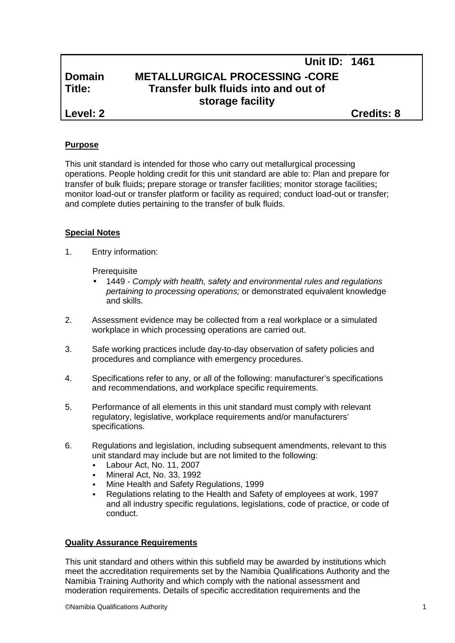|               | <b>Unit ID: 1461</b>                  |                   |  |
|---------------|---------------------------------------|-------------------|--|
| <b>Domain</b> | <b>METALLURGICAL PROCESSING -CORE</b> |                   |  |
| Title:        | Transfer bulk fluids into and out of  |                   |  |
|               | storage facility                      |                   |  |
| Level: 2      |                                       | <b>Credits: 8</b> |  |

### **Purpose**

This unit standard is intended for those who carry out metallurgical processing operations. People holding credit for this unit standard are able to: Plan and prepare for transfer of bulk fluids; prepare storage or transfer facilities; monitor storage facilities; monitor load-out or transfer platform or facility as required; conduct load-out or transfer; and complete duties pertaining to the transfer of bulk fluids.

## **Special Notes**

1. Entry information:

**Prerequisite** 

- 1449 *- Comply with health, safety and environmental rules and regulations pertaining to processing operations;* or demonstrated equivalent knowledge and skills.
- 2. Assessment evidence may be collected from a real workplace or a simulated workplace in which processing operations are carried out.
- 3. Safe working practices include day-to-day observation of safety policies and procedures and compliance with emergency procedures.
- 4. Specifications refer to any, or all of the following: manufacturer's specifications and recommendations, and workplace specific requirements.
- 5. Performance of all elements in this unit standard must comply with relevant regulatory, legislative, workplace requirements and/or manufacturers' specifications.
- 6. Regulations and legislation, including subsequent amendments, relevant to this unit standard may include but are not limited to the following:
	- Labour Act, No. 11, 2007
	- Mineral Act, No. 33, 1992
	- Mine Health and Safety Regulations, 1999
	- Regulations relating to the Health and Safety of employees at work, 1997 and all industry specific regulations, legislations, code of practice, or code of conduct.

### **Quality Assurance Requirements**

This unit standard and others within this subfield may be awarded by institutions which meet the accreditation requirements set by the Namibia Qualifications Authority and the Namibia Training Authority and which comply with the national assessment and moderation requirements. Details of specific accreditation requirements and the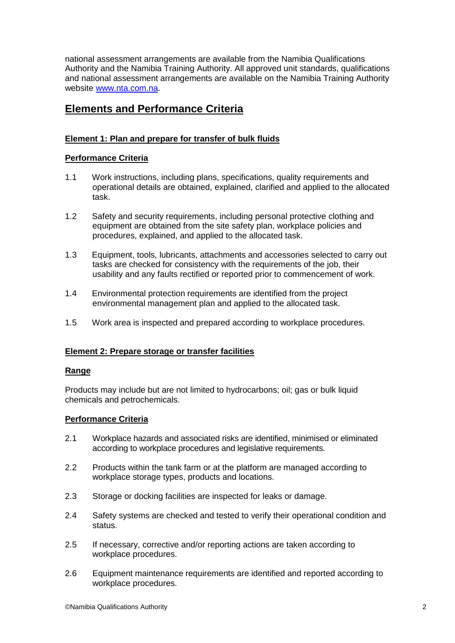national assessment arrangements are available from the Namibia Qualifications Authority and the Namibia Training Authority. All approved unit standards, qualifications and national assessment arrangements are available on the Namibia Training Authority website www.nta.com.na.

# **Elements and Performance Criteria**

## **Element 1: Plan and prepare for transfer of bulk fluids**

### **Performance Criteria**

- 1.1 Work instructions, including plans, specifications, quality requirements and operational details are obtained, explained, clarified and applied to the allocated task.
- 1.2 Safety and security requirements, including personal protective clothing and equipment are obtained from the site safety plan, workplace policies and procedures, explained, and applied to the allocated task.
- 1.3 Equipment, tools, lubricants, attachments and accessories selected to carry out tasks are checked for consistency with the requirements of the job, their usability and any faults rectified or reported prior to commencement of work.
- 1.4 Environmental protection requirements are identified from the project environmental management plan and applied to the allocated task.
- 1.5 Work area is inspected and prepared according to workplace procedures.

### **Element 2: Prepare storage or transfer facilities**

#### **Range**

Products may include but are not limited to hydrocarbons; oil; gas or bulk liquid chemicals and petrochemicals.

### **Performance Criteria**

- 2.1 Workplace hazards and associated risks are identified, minimised or eliminated according to workplace procedures and legislative requirements.
- 2.2 Products within the tank farm or at the platform are managed according to workplace storage types, products and locations.
- 2.3 Storage or docking facilities are inspected for leaks or damage.
- 2.4 Safety systems are checked and tested to verify their operational condition and status.
- 2.5 If necessary, corrective and/or reporting actions are taken according to workplace procedures.
- 2.6 Equipment maintenance requirements are identified and reported according to workplace procedures.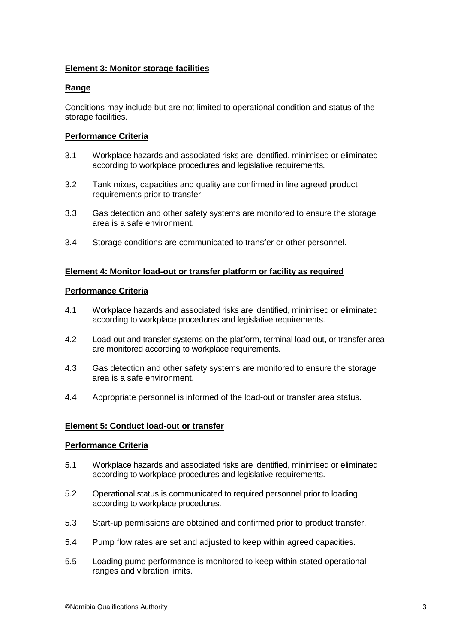## **Element 3: Monitor storage facilities**

### **Range**

Conditions may include but are not limited to operational condition and status of the storage facilities.

#### **Performance Criteria**

- 3.1 Workplace hazards and associated risks are identified, minimised or eliminated according to workplace procedures and legislative requirements.
- 3.2 Tank mixes, capacities and quality are confirmed in line agreed product requirements prior to transfer.
- 3.3 Gas detection and other safety systems are monitored to ensure the storage area is a safe environment.
- 3.4 Storage conditions are communicated to transfer or other personnel.

### **Element 4: Monitor load-out or transfer platform or facility as required**

#### **Performance Criteria**

- 4.1 Workplace hazards and associated risks are identified, minimised or eliminated according to workplace procedures and legislative requirements.
- 4.2 Load-out and transfer systems on the platform, terminal load-out, or transfer area are monitored according to workplace requirements.
- 4.3 Gas detection and other safety systems are monitored to ensure the storage area is a safe environment.
- 4.4 Appropriate personnel is informed of the load-out or transfer area status.

#### **Element 5: Conduct load-out or transfer**

#### **Performance Criteria**

- 5.1 Workplace hazards and associated risks are identified, minimised or eliminated according to workplace procedures and legislative requirements.
- 5.2 Operational status is communicated to required personnel prior to loading according to workplace procedures.
- 5.3 Start-up permissions are obtained and confirmed prior to product transfer.
- 5.4 Pump flow rates are set and adjusted to keep within agreed capacities.
- 5.5 Loading pump performance is monitored to keep within stated operational ranges and vibration limits.